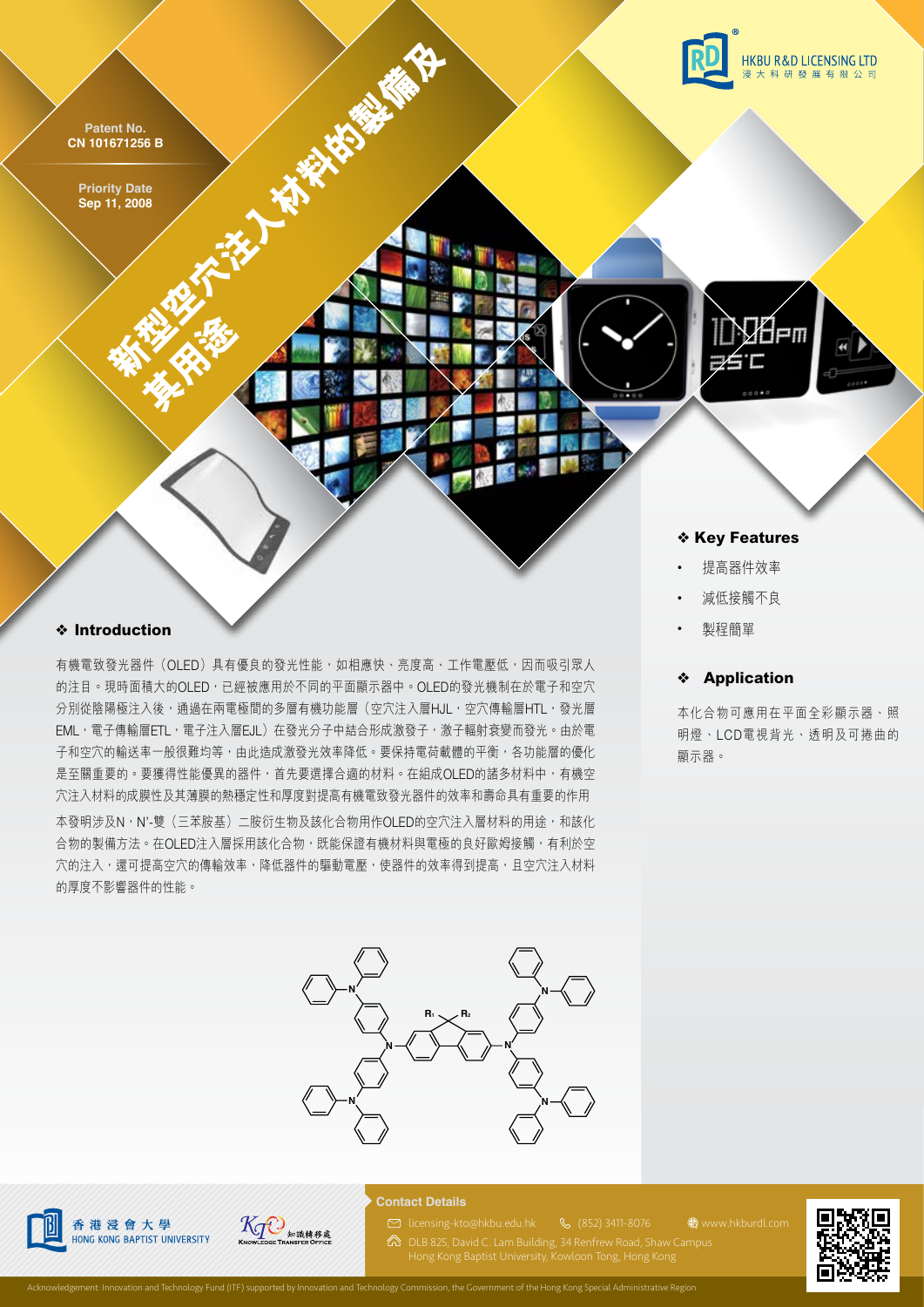**Patent No. CN 101671256 B**

> **Priority Date Sep 11, 2008**

> > **样子有些**

**HKBU R&D LICENSING LTD** 研發展有限

❖ **Key Features**

- 提高器件效率
- 減低接觸不良
- 製程簡單

### ❖ **Application**

**WWW.hkburdl.com** 

本化合物可應用在平面全彩顯示器、照 明燈、LCD電視背光、透明及可捲曲的 顯示器。

# ❖ **Introduction**

有機電致發光器件(OLED)具有優良的發光性能,如相應快、亮度高、工作電壓低,因而吸引眾人 的注目。現時面積大的OLED,已經被應用於不同的平面顯示器中。OLED的發光機制在於電子和空穴 分別從陰陽極注入後,通過在兩電極間的多層有機功能層(空穴注入層HJL,空穴傳輸層HTL,發光層 EML,電子傳輸層ETL,電子注入層EJL)在發光分子中結合形成激發子,激子輻射衰變而發光。由於電 子和空穴的輸送率一般很難均等,由此造成激發光效率降低。要保持電荷載體的平衡,各功能層的優化 是至關重要的。要獲得性能優異的器件,首先要選擇合適的材料。在組成OLED的諸多材料中,有機空 穴注入材料的成膜性及其薄膜的熱穩定性和厚度對提高有機電致發光器件的效率和壽命具有重要的作用 本發明涉及N,N'-雙(三苯胺基)二胺衍生物及該化合物用作OLED的空穴注入層材料的用途,和該化

**大型空洞的製作** 

合物的製備方法。在OLED注入層採用該化合物,既能保證有機材料與電極的良好歐姆接觸,有利於空 穴的注入,還可提高空穴的傳輸效率,降低器件的驅動電壓,使器件的效率得到提高,且空穴注入材料 的厚度不影響器件的性能。





# **KTO** 知識轉移處

#### **Contact Details**

(852) 3411-8076 licensing-kto@hkbu.edu.hk

DLB 825, David C. Lam Building, 34 Renfrew Road, Shaw Campus

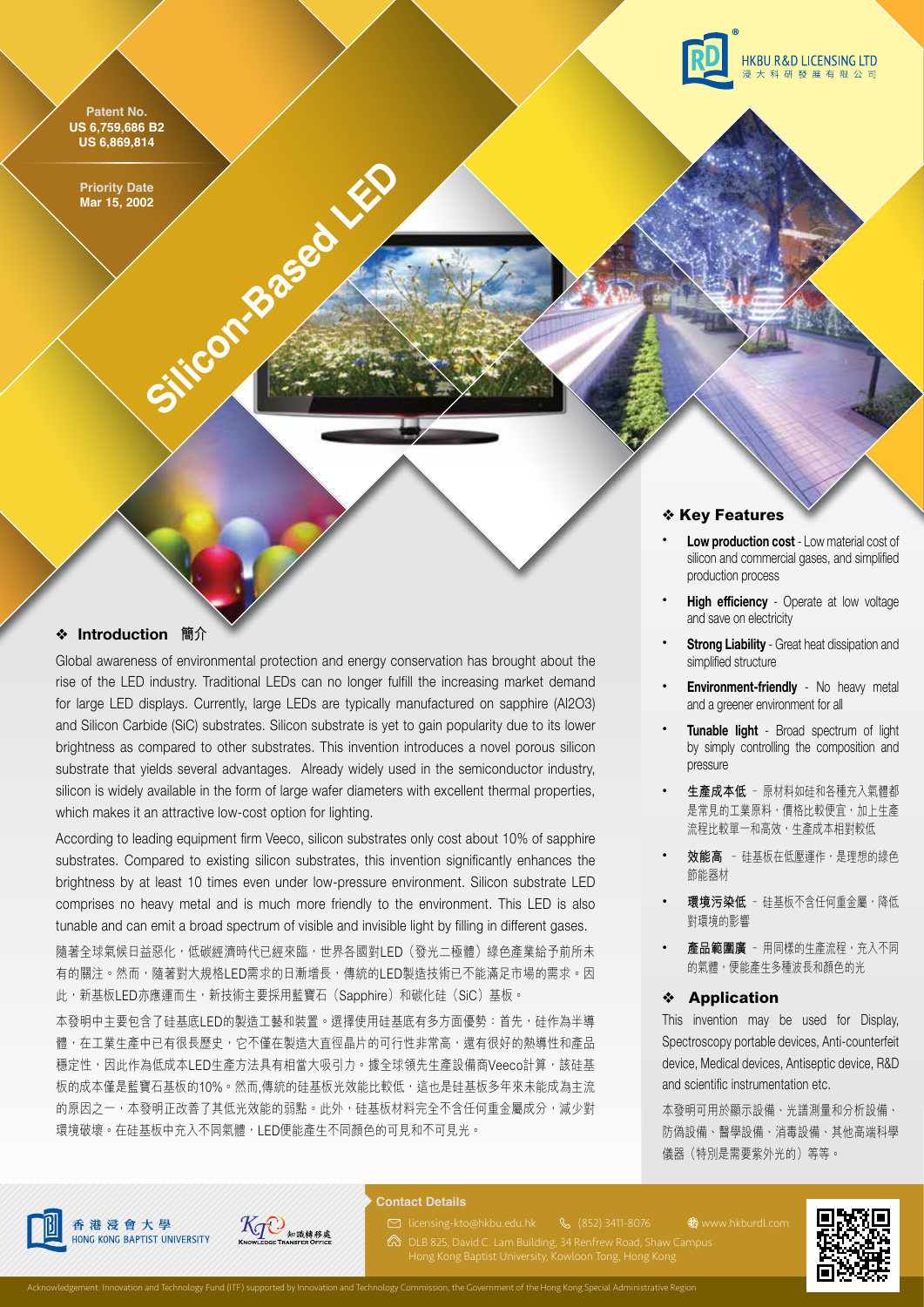**Patent No. US 6,759,686 B2 US 6,869,814**



#### ❖ **Introduction 簡介**

Global awareness of environmental protection and energy conservation has brought about the rise of the LED industry. Traditional LEDs can no longer fulfill the increasing market demand for large LED displays. Currently, large LEDs are typically manufactured on sapphire (Al2O3) and Silicon Carbide (SiC) substrates. Silicon substrate is yet to gain popularity due to its lower brightness as compared to other substrates. This invention introduces a novel porous silicon substrate that yields several advantages. Already widely used in the semiconductor industry, silicon is widely available in the form of large wafer diameters with excellent thermal properties, which makes it an attractive low-cost option for lighting.

According to leading equipment firm Veeco, silicon substrates only cost about 10% of sapphire substrates. Compared to existing silicon substrates, this invention significantly enhances the brightness by at least 10 times even under low-pressure environment. Silicon substrate LED comprises no heavy metal and is much more friendly to the environment. This LED is also tunable and can emit a broad spectrum of visible and invisible light by filling in different gases.

隨著全球氣候日益惡化,低碳經濟時代已經來臨,世界各國對LED(發光二極體)綠色產業給予前所未 有的關注。然而,隨著對大規格LED需求的日漸增長,傳統的LED製造技術已不能滿足市場的需求。因 此,新基板LED亦應運而生,新技術主要採用藍寶石(Sapphire)和碳化硅(SiC)基板。

本發明中主要包含了硅基底LED的製造工藝和裝置。選擇使用硅基底有多方面優勢:首先,硅作為半導 體,在工業生產中已有很長歷史,它不僅在製造大直徑晶片的可行性非常高,還有很好的熱導性和產品 穩定性,因此作為低成本LED生產方法具有相當大吸引力。據全球領先生產設備商Veeco計算,該硅基 板的成本僅是藍寶石基板的10%。然而,傳統的硅基板光效能比較低,這也是硅基板多年來未能成為主流 的原因之一,本發明正改善了其低光效能的弱點。此外,硅基板材料完全不含任何重金屬成分,減少對 環境破壞。在硅基板中充入不同氣體,LED便能產生不同顏色的可見和不可見光。



## ❖ **Key Features**

- **Low production cost**  Low material cost of silicon and commercial gases, and simplified production process
- **High efficiency** Operate at low voltage and save on electricity
- **Strong Liability** Great heat dissipation and simplified structure
- **Environment-friendly** No heavy metal and a greener environment for all
- **Tunable light** Broad spectrum of light by simply controlling the composition and pressure
- **生產成本低** ﹣原材料如硅和各種充入氣體都 是常見的工業原料,價格比較便宜,加上生產 流程比較單一和高效,生產成本相對較低
- **效能高** ﹣硅基板在低壓運作,是理想的綠色 節能器材
- **環境污染低** 硅基板不含任何重金屬,降低 對環境的影響
- 產品範圍廣 用同樣的生產流程,充入不同 的氣體,便能產生多種波長和顏色的光

#### ❖ **Application**

This invention may be used for Display, Spectroscopy portable devices, Anti-counterfeit device, Medical devices, Antiseptic device, R&D and scientific instrumentation etc.

本發明可用於顯示設備、光譜測量和分析設備、 防偽設備、醫學設備、消毒設備、其他高端科學 儀器(特別是需要紫外光的)等等。







#### **Contact Details**

(852) 3411-8076 licensing-kto@hkbu.edu.hk

DLB 825, David C. Lam Building, 34 Renfrew Road, Shaw Campus **WWW.hkburdl.com** 



Acknowledgement: Innovation and Technology Fund (ITF) supported by Innovation and Technology Commission, the Government of the Hong Kong Special Administrative Region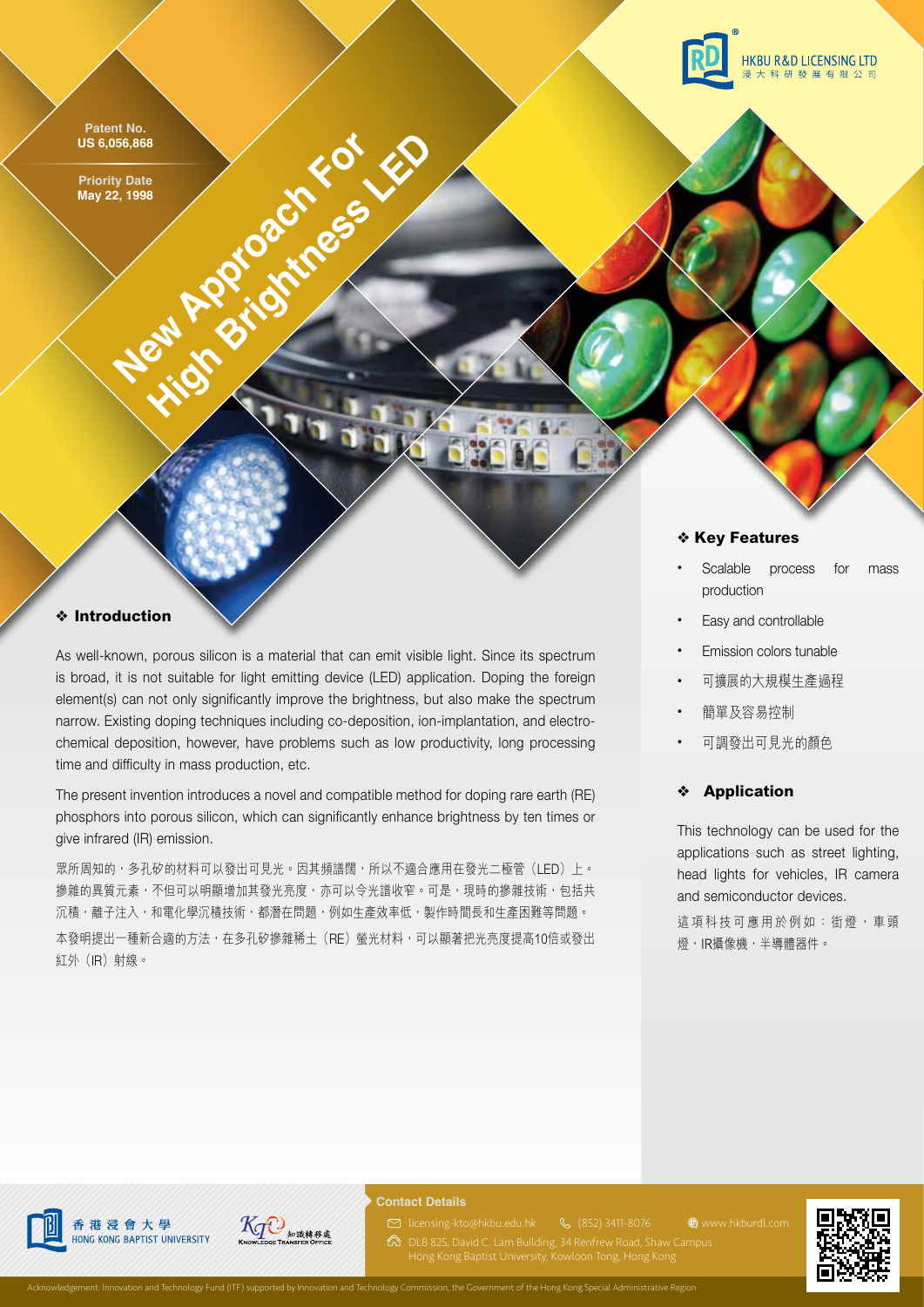

Patent No. Se,056,868<br>
High Batelland Brightness Level Apple Development No. 2016 **US 6,056,868**

**Priority Date May 22, 1998**

## ❖ **Key Features**

- Scalable process for mass production
- Easy and controllable
- Emission colors tunable
- 可擴展的大規模生產過程
- 簡單及容易控制
- 可調發出可見光的顏色

## ❖ **Application**

**WWW.hkburdl.com** 

This technology can be used for the applications such as street lighting, head lights for vehicles, IR camera and semiconductor devices.

這項科技可應用於例如:街燈,車頭 燈,IR攝像機,半導體器件。

## ❖ **Introduction**

As well-known, porous silicon is a material that can emit visible light. Since its spectrum is broad, it is not suitable for light emitting device (LED) application. Doping the foreign element(s) can not only significantly improve the brightness, but also make the spectrum narrow. Existing doping techniques including co-deposition, ion-implantation, and electrochemical deposition, however, have problems such as low productivity, long processing time and difficulty in mass production, etc.

The present invention introduces a novel and compatible method for doping rare earth (RE) phosphors into porous silicon, which can significantly enhance brightness by ten times or give infrared (IR) emission.

眾所周知的,多孔矽的材料可以發出可見光。因其頻譜闊,所以不適合應用在發光二極管(LED)上。 掺雜的異質元素,不但可以明顯增加其發光亮度,亦可以令光譜收窄。可是,現時的摻雜技術,包括共 沉積,離子注入,和電化學沉積技術,都潛在問題,例如生產效率低,製作時間長和生產困難等問題。 本發明提出一種新合適的方法,在多孔矽摻雜稀土(RE)螢光材料,可以顯著把光亮度提高10倍或發出 紅外(IR)射線。







#### **Contact Details**

(852) 3411-8076 licensing-kto@hkbu.edu.hk

DLB 825, David C. Lam Building, 34 Renfrew Road, Shaw Campus